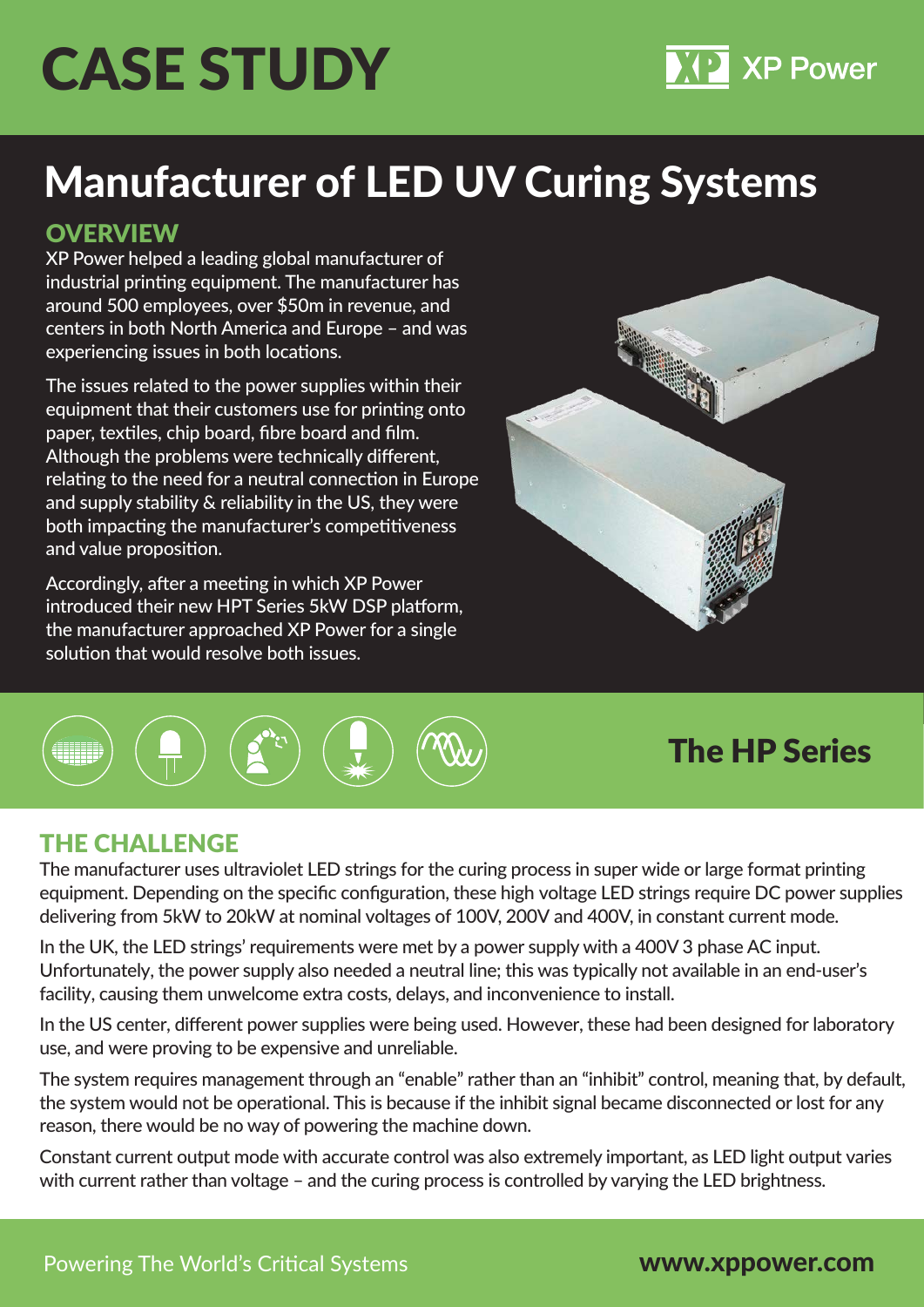# CASE STUDY

### Manufacturer of LED UV Curing Systems

#### **OVERVIEW**

XP Power helped a leading global manufacturer of industrial printing equipment. The manufacturer has around 500 employees, over \$50m in revenue, and centers in both North America and Europe – and was experiencing issues in both locations.

The issues related to the power supplies within their equipment that their customers use for printing onto paper, textiles, chip board, fibre board and film. Although the problems were technically different, relating to the need for a neutral connection in Europe and supply stability & reliability in the US, they were both impacting the manufacturer's competitiveness and value proposition.

Accordingly, after a meeting in which XP Power introduced their new HPT Series 5kW DSP platform, the manufacturer approached XP Power for a single solution that would resolve both issues.





### The HP Series

**XP Power** 

#### THE CHALLENGE

The manufacturer uses ultraviolet LED strings for the curing process in super wide or large format printing equipment. Depending on the specific configuration, these high voltage LED strings require DC power supplies delivering from 5kW to 20kW at nominal voltages of 100V, 200V and 400V, in constant current mode.

In the UK, the LED strings' requirements were met by a power supply with a 400V 3 phase AC input. Unfortunately, the power supply also needed a neutral line; this was typically not available in an end-user's facility, causing them unwelcome extra costs, delays, and inconvenience to install.

In the US center, different power supplies were being used. However, these had been designed for laboratory use, and were proving to be expensive and unreliable.

The system requires management through an "enable" rather than an "inhibit" control, meaning that, by default, the system would not be operational. This is because if the inhibit signal became disconnected or lost for any reason, there would be no way of powering the machine down.

Constant current output mode with accurate control was also extremely important, as LED light output varies with current rather than voltage – and the curing process is controlled by varying the LED brightness.

www.xppower.com